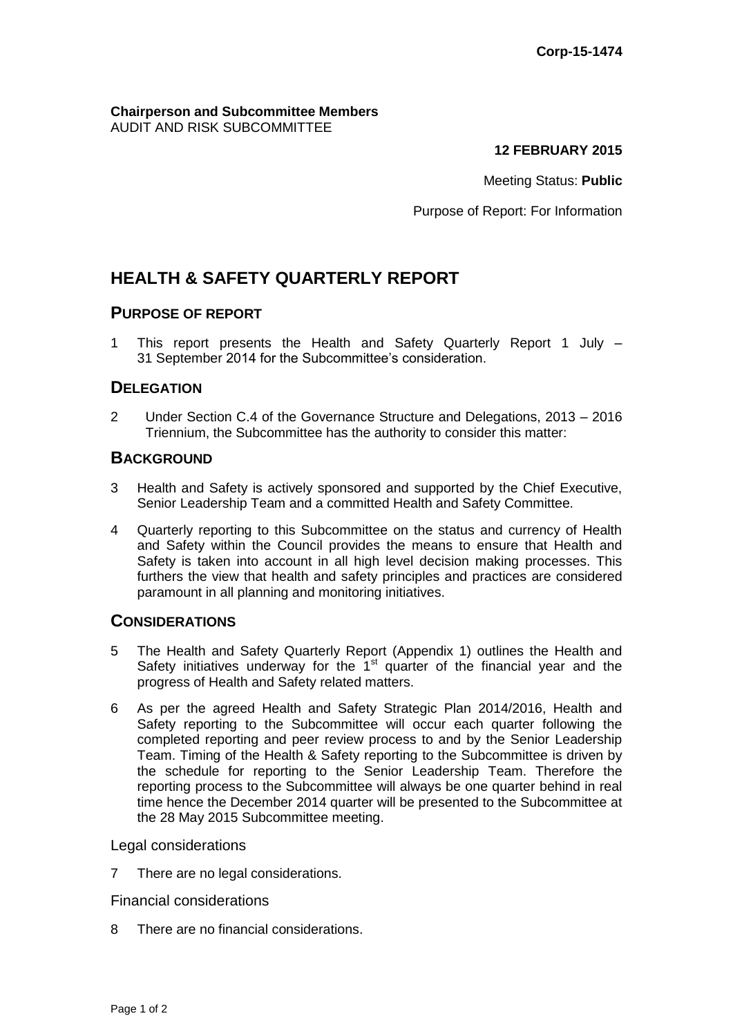#### **Chairperson and Subcommittee Members** AUDIT AND RISK SUBCOMMITTEE

**12 FEBRUARY 2015**

Meeting Status: **Public**

Purpose of Report: For Information

# **HEALTH & SAFETY QUARTERLY REPORT**

## **PURPOSE OF REPORT**

1 This report presents the Health and Safety Quarterly Report 1 July – 31 September 2014 for the Subcommittee's consideration.

## **DELEGATION**

2 Under Section C.4 of the Governance Structure and Delegations, 2013 – 2016 Triennium, the Subcommittee has the authority to consider this matter:

## **BACKGROUND**

- 3 Health and Safety is actively sponsored and supported by the Chief Executive, Senior Leadership Team and a committed Health and Safety Committee.
- 4 Quarterly reporting to this Subcommittee on the status and currency of Health and Safety within the Council provides the means to ensure that Health and Safety is taken into account in all high level decision making processes. This furthers the view that health and safety principles and practices are considered paramount in all planning and monitoring initiatives.

## **CONSIDERATIONS**

- 5 The Health and Safety Quarterly Report (Appendix 1) outlines the Health and Safety initiatives underway for the  $1<sup>st</sup>$  quarter of the financial year and the progress of Health and Safety related matters.
- 6 As per the agreed Health and Safety Strategic Plan 2014/2016, Health and Safety reporting to the Subcommittee will occur each quarter following the completed reporting and peer review process to and by the Senior Leadership Team. Timing of the Health & Safety reporting to the Subcommittee is driven by the schedule for reporting to the Senior Leadership Team. Therefore the reporting process to the Subcommittee will always be one quarter behind in real time hence the December 2014 quarter will be presented to the Subcommittee at the 28 May 2015 Subcommittee meeting.

#### Legal considerations

7 There are no legal considerations.

#### Financial considerations

8 There are no financial considerations.